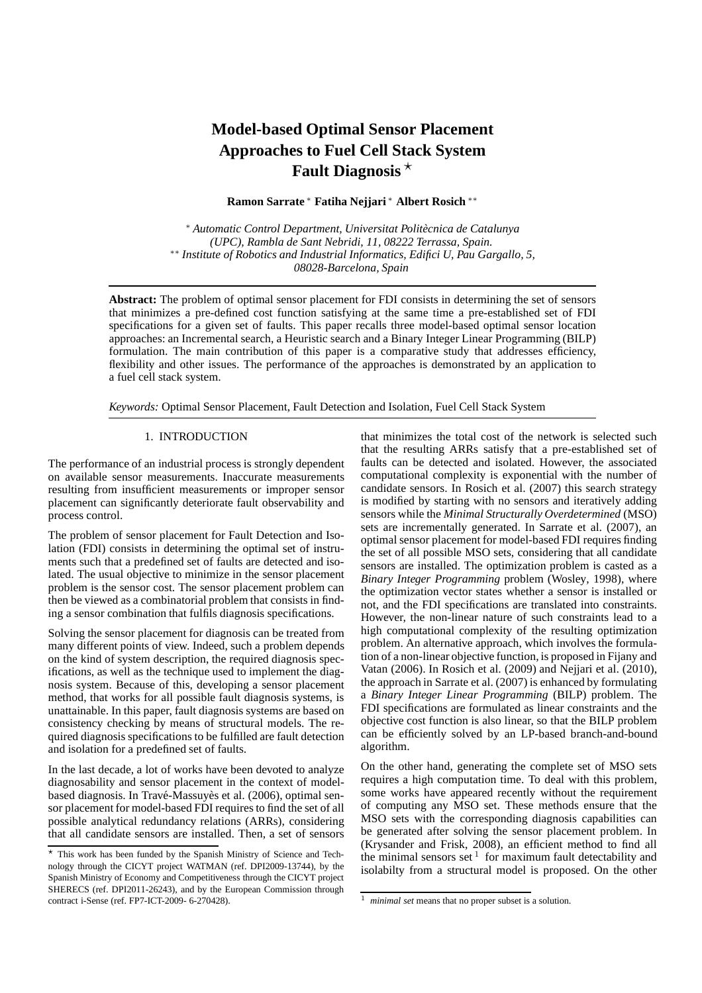# **Model-based Optimal Sensor Placement Approaches to Fuel Cell Stack System Fault Diagnosis** <sup>⋆</sup>

**Ramon Sarrate** <sup>∗</sup> **Fatiha Nejjari** <sup>∗</sup> **Albert Rosich** ∗∗

<sup>∗</sup> *Automatic Control Department, Universitat Politecnica de Catalunya ` (UPC), Rambla de Sant Nebridi, 11, 08222 Terrassa, Spain.* ∗∗ *Institute of Robotics and Industrial Informatics, Edifici U, Pau Gargallo, 5, 08028-Barcelona, Spain*

**Abstract:** The problem of optimal sensor placement for FDI consists in determining the set of sensors that minimizes a pre-defined cost function satisfying at the same time a pre-established set of FDI specifications for a given set of faults. This paper recalls three model-based optimal sensor location approaches: an Incremental search, a Heuristic search and a Binary Integer Linear Programming (BILP) formulation. The main contribution of this paper is a comparative study that addresses efficiency, flexibility and other issues. The performance of the approaches is demonstrated by an application to a fuel cell stack system.

*Keywords:* Optimal Sensor Placement, Fault Detection and Isolation, Fuel Cell Stack System

# 1. INTRODUCTION

The performance of an industrial process is strongly dependent on available sensor measurements. Inaccurate measurements resulting from insufficient measurements or improper sensor placement can significantly deteriorate fault observability and process control.

The problem of sensor placement for Fault Detection and Isolation (FDI) consists in determining the optimal set of instruments such that a predefined set of faults are detected and isolated. The usual objective to minimize in the sensor placement problem is the sensor cost. The sensor placement problem can then be viewed as a combinatorial problem that consists in finding a sensor combination that fulfils diagnosis specifications.

Solving the sensor placement for diagnosis can be treated from many different points of view. Indeed, such a problem depends on the kind of system description, the required diagnosis specifications, as well as the technique used to implement the diagnosis system. Because of this, developing a sensor placement method, that works for all possible fault diagnosis systems, is unattainable. In this paper, fault diagnosis systems are based on consistency checking by means of structural models. The required diagnosis specifications to be fulfilled are fault detection and isolation for a predefined set of faults.

In the last decade, a lot of works have been devoted to analyze diagnosability and sensor placement in the context of modelbased diagnosis. In Travé-Massuyès et al. (2006), optimal sensor placement for model-based FDI requires to find the set of all possible analytical redundancy relations (ARRs), considering that all candidate sensors are installed. Then, a set of sensors that minimizes the total cost of the network is selected such that the resulting ARRs satisfy that a pre-established set of faults can be detected and isolated. However, the associated computational complexity is exponential with the number of candidate sensors. In Rosich et al. (2007) this search strategy is modified by starting with no sensors and iteratively adding sensors while the *Minimal Structurally Overdetermined* (MSO) sets are incrementally generated. In Sarrate et al. (2007), an optimal sensor placement for model-based FDI requires finding the set of all possible MSO sets, considering that all candidate sensors are installed. The optimization problem is casted as a *Binary Integer Programming* problem (Wosley, 1998), where the optimization vector states whether a sensor is installed or not, and the FDI specifications are translated into constraints. However, the non-linear nature of such constraints lead to a high computational complexity of the resulting optimization problem. An alternative approach, which involves the formulation of a non-linear objective function, is proposed in Fijany and Vatan (2006). In Rosich et al. (2009) and Nejjari et al. (2010), the approach in Sarrate et al. (2007) is enhanced by formulating a *Binary Integer Linear Programming* (BILP) problem. The FDI specifications are formulated as linear constraints and the objective cost function is also linear, so that the BILP problem can be efficiently solved by an LP-based branch-and-bound algorithm.

On the other hand, generating the complete set of MSO sets requires a high computation time. To deal with this problem, some works have appeared recently without the requirement of computing any MSO set. These methods ensure that the MSO sets with the corresponding diagnosis capabilities can be generated after solving the sensor placement problem. In (Krysander and Frisk, 2008), an efficient method to find all the minimal sensors set  $1$  for maximum fault detectability and isolabilty from a structural model is proposed. On the other

<sup>⋆</sup> This work has been funded by the Spanish Ministry of Science and Technology through the CICYT project WATMAN (ref. DPI2009-13744), by the Spanish Ministry of Economy and Competitiveness through the CICYT project SHERECS (ref. DPI2011-26243), and by the European Commission through contract i-Sense (ref. FP7-ICT-2009- 6-270428).

<sup>1</sup> *minimal set* means that no proper subset is a solution.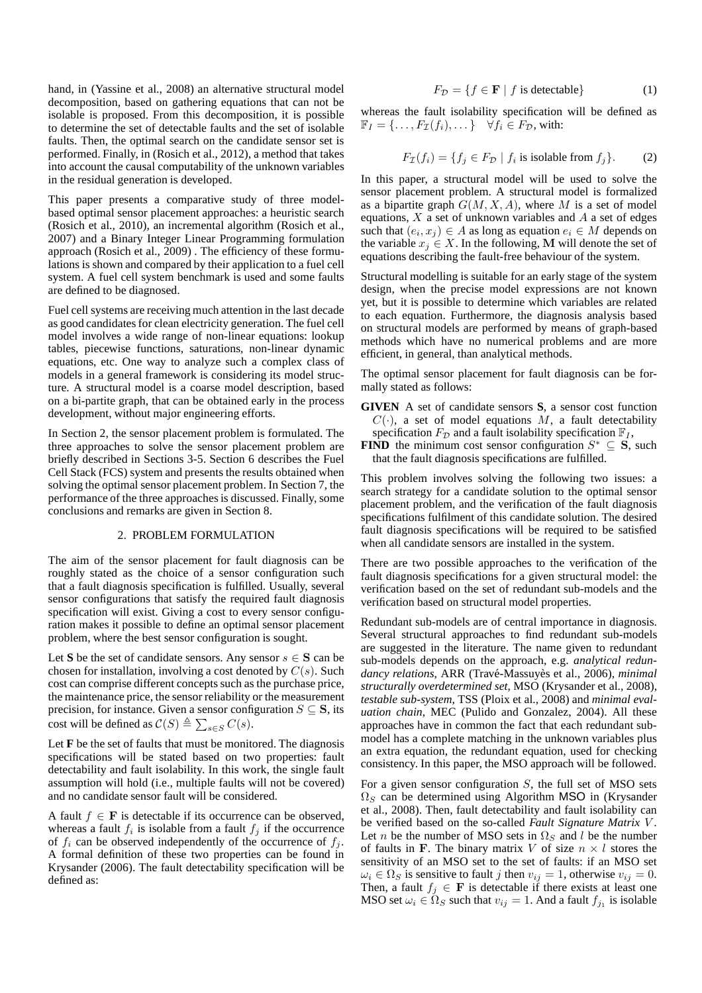hand, in (Yassine et al., 2008) an alternative structural model decomposition, based on gathering equations that can not be isolable is proposed. From this decomposition, it is possible to determine the set of detectable faults and the set of isolable faults. Then, the optimal search on the candidate sensor set is performed. Finally, in (Rosich et al., 2012), a method that takes into account the causal computability of the unknown variables in the residual generation is developed.

This paper presents a comparative study of three modelbased optimal sensor placement approaches: a heuristic search (Rosich et al., 2010), an incremental algorithm (Rosich et al., 2007) and a Binary Integer Linear Programming formulation approach (Rosich et al., 2009) . The efficiency of these formulations is shown and compared by their application to a fuel cell system. A fuel cell system benchmark is used and some faults are defined to be diagnosed.

Fuel cell systems are receiving much attention in the last decade as good candidates for clean electricity generation. The fuel cell model involves a wide range of non-linear equations: lookup tables, piecewise functions, saturations, non-linear dynamic equations, etc. One way to analyze such a complex class of models in a general framework is considering its model structure. A structural model is a coarse model description, based on a bi-partite graph, that can be obtained early in the process development, without major engineering efforts.

In Section 2, the sensor placement problem is formulated. The three approaches to solve the sensor placement problem are briefly described in Sections 3-5. Section 6 describes the Fuel Cell Stack (FCS) system and presents the results obtained when solving the optimal sensor placement problem. In Section 7, the performance of the three approaches is discussed. Finally, some conclusions and remarks are given in Section 8.

## 2. PROBLEM FORMULATION

The aim of the sensor placement for fault diagnosis can be roughly stated as the choice of a sensor configuration such that a fault diagnosis specification is fulfilled. Usually, several sensor configurations that satisfy the required fault diagnosis specification will exist. Giving a cost to every sensor configuration makes it possible to define an optimal sensor placement problem, where the best sensor configuration is sought.

Let S be the set of candidate sensors. Any sensor  $s \in S$  can be chosen for installation, involving a cost denoted by  $C(s)$ . Such cost can comprise different concepts such as the purchase price, the maintenance price, the sensor reliability or the measurement precision, for instance. Given a sensor configuration  $S \subseteq \mathbf{S}$ , its cost will be defined as  $C(S) \triangleq \sum_{s \in S} C(s)$ .

Let **F** be the set of faults that must be monitored. The diagnosis specifications will be stated based on two properties: fault detectability and fault isolability. In this work, the single fault assumption will hold (i.e., multiple faults will not be covered) and no candidate sensor fault will be considered.

A fault  $f \in \mathbf{F}$  is detectable if its occurrence can be observed, whereas a fault  $f_i$  is isolable from a fault  $f_j$  if the occurrence of  $f_i$  can be observed independently of the occurrence of  $f_j$ . A formal definition of these two properties can be found in Krysander (2006). The fault detectability specification will be defined as:

$$
F_{\mathcal{D}} = \{ f \in \mathbf{F} \mid f \text{ is detectable} \} \tag{1}
$$

whereas the fault isolability specification will be defined as  $\mathbb{F}_I = \{ \ldots, F_{\mathcal{I}}(f_i), \ldots \} \quad \forall f_i \in F_{\mathcal{D}}$ , with:

$$
F_{\mathcal{I}}(f_i) = \{ f_j \in F_{\mathcal{D}} \mid f_i \text{ is isolate from } f_j \}. \tag{2}
$$

In this paper, a structural model will be used to solve the sensor placement problem. A structural model is formalized as a bipartite graph  $G(M, X, A)$ , where M is a set of model equations,  $X$  a set of unknown variables and  $A$  a set of edges such that  $(e_i, x_j) \in A$  as long as equation  $e_i \in M$  depends on the variable  $x_j \in X$ . In the following, M will denote the set of equations describing the fault-free behaviour of the system.

Structural modelling is suitable for an early stage of the system design, when the precise model expressions are not known yet, but it is possible to determine which variables are related to each equation. Furthermore, the diagnosis analysis based on structural models are performed by means of graph-based methods which have no numerical problems and are more efficient, in general, than analytical methods.

The optimal sensor placement for fault diagnosis can be formally stated as follows:

- **GIVEN** A set of candidate sensors **S**, a sensor cost function  $C(\cdot)$ , a set of model equations M, a fault detectability specification  $F_{\mathcal{D}}$  and a fault isolability specification  $\mathbb{F}_I$ ,
- **FIND** the minimum cost sensor configuration  $S^* \subseteq S$ , such that the fault diagnosis specifications are fulfilled.

This problem involves solving the following two issues: a search strategy for a candidate solution to the optimal sensor placement problem, and the verification of the fault diagnosis specifications fulfilment of this candidate solution. The desired fault diagnosis specifications will be required to be satisfied when all candidate sensors are installed in the system.

There are two possible approaches to the verification of the fault diagnosis specifications for a given structural model: the verification based on the set of redundant sub-models and the verification based on structural model properties.

Redundant sub-models are of central importance in diagnosis. Several structural approaches to find redundant sub-models are suggested in the literature. The name given to redundant sub-models depends on the approach, e.g. *analytical redundancy relations*, ARR (Trav´e-Massuy`es et al., 2006), *minimal structurally overdetermined set*, MSO (Krysander et al., 2008), *testable sub-system*, TSS (Ploix et al., 2008) and *minimal evaluation chain*, MEC (Pulido and Gonzalez, 2004). All these approaches have in common the fact that each redundant submodel has a complete matching in the unknown variables plus an extra equation, the redundant equation, used for checking consistency. In this paper, the MSO approach will be followed.

For a given sensor configuration  $S$ , the full set of MSO sets  $\Omega<sub>S</sub>$  can be determined using Algorithm MSO in (Krysander et al., 2008). Then, fault detectability and fault isolability can be verified based on the so-called *Fault Signature Matrix* V . Let *n* be the number of MSO sets in  $\Omega<sub>S</sub>$  and *l* be the number of faults in F. The binary matrix V of size  $n \times l$  stores the sensitivity of an MSO set to the set of faults: if an MSO set  $\omega_i \in \Omega_S$  is sensitive to fault j then  $v_{ij} = 1$ , otherwise  $v_{ij} = 0$ . Then, a fault  $f_i \in \mathbf{F}$  is detectable if there exists at least one MSO set  $\omega_i \in \Omega_S$  such that  $v_{ij} = 1$ . And a fault  $f_{j_1}$  is isolable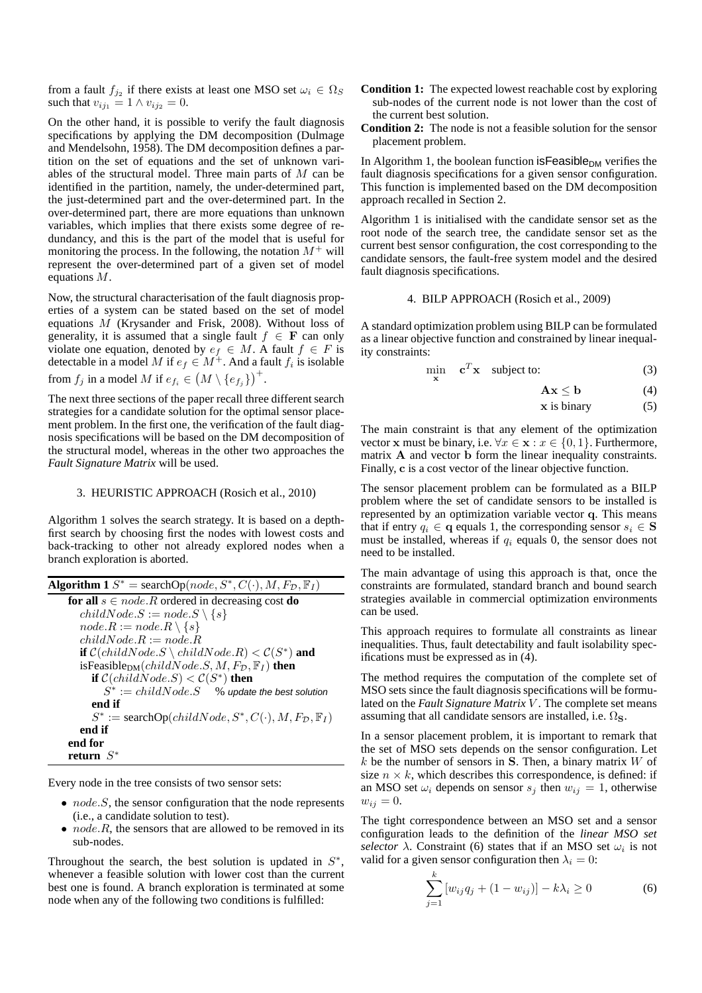from a fault  $f_{j_2}$  if there exists at least one MSO set  $\omega_i \in \Omega_S$ such that  $v_{ij_1} = 1 \wedge v_{ij_2} = 0$ .

On the other hand, it is possible to verify the fault diagnosis specifications by applying the DM decomposition (Dulmage and Mendelsohn, 1958). The DM decomposition defines a partition on the set of equations and the set of unknown variables of the structural model. Three main parts of M can be identified in the partition, namely, the under-determined part, the just-determined part and the over-determined part. In the over-determined part, there are more equations than unknown variables, which implies that there exists some degree of redundancy, and this is the part of the model that is useful for monitoring the process. In the following, the notation  $M^+$  will represent the over-determined part of a given set of model equations M.

Now, the structural characterisation of the fault diagnosis properties of a system can be stated based on the set of model equations M (Krysander and Frisk, 2008). Without loss of generality, it is assumed that a single fault  $f \in \mathbf{F}$  can only violate one equation, denoted by  $e_f \in M$ . A fault  $f \in F$  is detectable in a model M if  $e_f \in M^+$ . And a fault  $f_i$  is isolable from  $f_j$  in a model M if  $e_{f_i} \in (M \setminus \{e_{f_j}\})^+$ .

The next three sections of the paper recall three different search strategies for a candidate solution for the optimal sensor placement problem. In the first one, the verification of the fault diagnosis specifications will be based on the DM decomposition of the structural model, whereas in the other two approaches the *Fault Signature Matrix* will be used.

## 3. HEURISTIC APPROACH (Rosich et al., 2010)

Algorithm 1 solves the search strategy. It is based on a depthfirst search by choosing first the nodes with lowest costs and back-tracking to other not already explored nodes when a branch exploration is aborted.

| <b>Algorithm 1</b> $S^*$ = searchOp(node, $S^*, C(\cdot), M, F_{\mathcal{D}}, \mathbb{F}_I$ ) |
|-----------------------------------------------------------------------------------------------|
| for all $s \in node \, R$ ordered in decreasing cost do                                       |
| $childNode.S := node.S \setminus \{s\}$                                                       |
| $node.R := node.R \setminus \{s\}$                                                            |
| $childNode, R := node, R$                                                                     |
| <b>if</b> $C(childNode.S \ \ childNode.R) < C(S^*)$ and                                       |
| isFeasible <sub>DM</sub> $\left(childNode.S, M, F_{\mathcal{D}}, \mathbb{F}_I\right)$ then    |
| if $C(childNode.S) < C(S^*)$ then                                                             |
| $S^* := \text{childNode}.S$ % update the best solution                                        |
| end if                                                                                        |
| $S^* := \text{searchOp}(childNode, S^*, C(\cdot), M, F_{\mathcal{D}}, \mathbb{F}_I)$          |
| end if                                                                                        |
| end for                                                                                       |
| return $S^*$                                                                                  |

Every node in the tree consists of two sensor sets:

- $\bullet$  *node.S*, the sensor configuration that the node represents (i.e., a candidate solution to test).
- $node.R$ , the sensors that are allowed to be removed in its sub-nodes.

Throughout the search, the best solution is updated in  $S^*$ , whenever a feasible solution with lower cost than the current best one is found. A branch exploration is terminated at some node when any of the following two conditions is fulfilled:

- **Condition 1:** The expected lowest reachable cost by exploring sub-nodes of the current node is not lower than the cost of the current best solution.
- **Condition 2:** The node is not a feasible solution for the sensor placement problem.

In Algorithm 1, the boolean function is Feasible<sub>DM</sub> verifies the fault diagnosis specifications for a given sensor configuration. This function is implemented based on the DM decomposition approach recalled in Section 2.

Algorithm 1 is initialised with the candidate sensor set as the root node of the search tree, the candidate sensor set as the current best sensor configuration, the cost corresponding to the candidate sensors, the fault-free system model and the desired fault diagnosis specifications.

#### 4. BILP APPROACH (Rosich et al., 2009)

A standard optimization problem using BILP can be formulated as a linear objective function and constrained by linear inequality constraints:

$$
\min_{\mathbf{x}} \quad \mathbf{c}^T \mathbf{x} \quad \text{subject to:} \tag{3}
$$

$$
\mathbf{A}\mathbf{x} \leq \mathbf{b} \tag{4}
$$

 $x$  is binary (5)

The main constraint is that any element of the optimization vector x must be binary, i.e.  $\forall x \in \mathbf{x} : x \in \{0, 1\}$ . Furthermore, matrix A and vector b form the linear inequality constraints. Finally, c is a cost vector of the linear objective function.

The sensor placement problem can be formulated as a BILP problem where the set of candidate sensors to be installed is represented by an optimization variable vector q. This means that if entry  $q_i \in \mathbf{q}$  equals 1, the corresponding sensor  $s_i \in \mathbf{S}$ must be installed, whereas if  $q_i$  equals 0, the sensor does not need to be installed.

The main advantage of using this approach is that, once the constraints are formulated, standard branch and bound search strategies available in commercial optimization environments can be used.

This approach requires to formulate all constraints as linear inequalities. Thus, fault detectability and fault isolability specifications must be expressed as in (4).

The method requires the computation of the complete set of MSO sets since the fault diagnosis specifications will be formulated on the *Fault Signature Matrix V*. The complete set means assuming that all candidate sensors are installed, i.e.  $\Omega$ <sub>S</sub>.

In a sensor placement problem, it is important to remark that the set of MSO sets depends on the sensor configuration. Let  $k$  be the number of sensors in S. Then, a binary matrix  $W$  of size  $n \times k$ , which describes this correspondence, is defined: if an MSO set  $\omega_i$  depends on sensor  $s_j$  then  $w_{ij} = 1$ , otherwise  $w_{ij} = 0.$ 

The tight correspondence between an MSO set and a sensor configuration leads to the definition of the *linear MSO set selector*  $\lambda$ . Constraint (6) states that if an MSO set  $\omega_i$  is not valid for a given sensor configuration then  $\lambda_i = 0$ :

$$
\sum_{j=1}^{k} [w_{ij}q_j + (1 - w_{ij})] - k\lambda_i \ge 0
$$
 (6)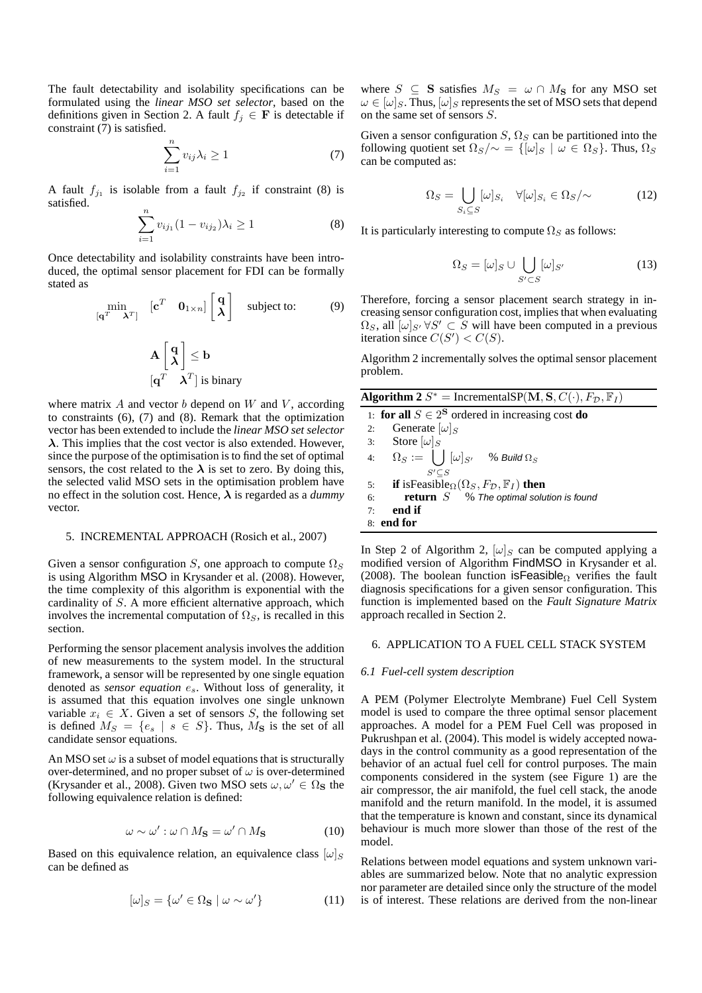The fault detectability and isolability specifications can be formulated using the *linear MSO set selector*, based on the definitions given in Section 2. A fault  $f_j \in \mathbf{F}$  is detectable if constraint (7) is satisfied.

$$
\sum_{i=1}^{n} v_{ij} \lambda_i \ge 1 \tag{7}
$$

A fault  $f_{j_1}$  is isolable from a fault  $f_{j_2}$  if constraint (8) is satisfied.

$$
\sum_{i=1}^{n} v_{ij_1} (1 - v_{ij_2}) \lambda_i \ge 1
$$
 (8)

Once detectability and isolability constraints have been introduced, the optimal sensor placement for FDI can be formally stated as

$$
\min_{\left[\mathbf{q}^T \quad \mathbf{\lambda}^T\right]} \quad \left[\mathbf{c}^T \quad \mathbf{0}_{1 \times n}\right] \begin{bmatrix} \mathbf{q} \\ \mathbf{\lambda} \end{bmatrix} \quad \text{subject to:} \tag{9}
$$

$$
\mathbf{A} \begin{bmatrix} \mathbf{q} \\ \boldsymbol{\lambda} \end{bmatrix} \leq \mathbf{b}
$$

$$
[\mathbf{q}^T \quad \boldsymbol{\lambda}^T] \text{ is binary}
$$

where matrix  $A$  and vector  $b$  depend on  $W$  and  $V$ , according to constraints (6), (7) and (8). Remark that the optimization vector has been extended to include the *linear MSO set selector*  $\lambda$ . This implies that the cost vector is also extended. However, since the purpose of the optimisation is to find the set of optimal sensors, the cost related to the  $\lambda$  is set to zero. By doing this, the selected valid MSO sets in the optimisation problem have no effect in the solution cost. Hence,  $\lambda$  is regarded as a *dummy* vector.

# 5. INCREMENTAL APPROACH (Rosich et al., 2007)

Given a sensor configuration S, one approach to compute  $\Omega<sub>S</sub>$ is using Algorithm MSO in Krysander et al. (2008). However, the time complexity of this algorithm is exponential with the cardinality of S. A more efficient alternative approach, which involves the incremental computation of  $\Omega<sub>S</sub>$ , is recalled in this section.

Performing the sensor placement analysis involves the addition of new measurements to the system model. In the structural framework, a sensor will be represented by one single equation denoted as *sensor equation* es. Without loss of generality, it is assumed that this equation involves one single unknown variable  $x_i \in X$ . Given a set of sensors S, the following set is defined  $M_S = \{e_s \mid s \in S\}$ . Thus,  $M_S$  is the set of all candidate sensor equations.

An MSO set  $\omega$  is a subset of model equations that is structurally over-determined, and no proper subset of  $\omega$  is over-determined (Krysander et al., 2008). Given two MSO sets  $\omega, \omega' \in \Omega_S$  the following equivalence relation is defined:

$$
\omega \sim \omega' : \omega \cap M_{\mathbf{S}} = \omega' \cap M_{\mathbf{S}} \tag{10}
$$

Based on this equivalence relation, an equivalence class  $[\omega]_S$ can be defined as

$$
[\omega]_S = \{ \omega' \in \Omega_{\mathbf{S}} \mid \omega \sim \omega' \}
$$
 (11)

where  $S \subseteq S$  satisfies  $M_S = \omega \cap M_S$  for any MSO set  $\omega \in [\omega]_S$ . Thus,  $[\omega]_S$  represents the set of MSO sets that depend on the same set of sensors S.

Given a sensor configuration  $S$ ,  $\Omega_S$  can be partitioned into the following quotient set  $\Omega_S/\sim$  = { $[\omega]_S \mid \omega \in \Omega_S$ }. Thus,  $\Omega_S$ can be computed as:

$$
\Omega_S = \bigcup_{S_i \subseteq S} [\omega]_{S_i} \quad \forall [\omega]_{S_i} \in \Omega_S / \sim \tag{12}
$$

It is particularly interesting to compute  $\Omega_S$  as follows:

$$
\Omega_S = [\omega]_S \cup \bigcup_{S' \subset S} [\omega]_{S'} \tag{13}
$$

Therefore, forcing a sensor placement search strategy in increasing sensor configuration cost, implies that when evaluating  $\Omega_S$ , all  $[\omega]_{S'} \forall S' \subset S$  will have been computed in a previous iteration since  $C(S') < C(S)$ .

Algorithm 2 incrementally solves the optimal sensor placement problem.

| <b>Algorithm 2</b> $S^*$ = IncrementalSP(M, S, $C(\cdot)$ , $F_{\mathcal{D}}$ , $\mathbb{F}_I$ )            |
|-------------------------------------------------------------------------------------------------------------|
| 1: for all $S \in 2^S$ ordered in increasing cost do                                                        |
| Generate $[\omega]_S$<br>2:                                                                                 |
| 3: Store $[\omega]_S$                                                                                       |
| $\Omega_S := \begin{pmatrix} \end{pmatrix} [\omega]_{S'}$ % Build $\Omega_S$<br>4:                          |
| $S'$ C $S$                                                                                                  |
| <b>if</b> is Feasible <sub><math>\Omega</math></sub> $(\Omega_S, F_{\mathcal{D}}, \mathbb{F}_I)$ then<br>5: |
| <b>return</b> $S$ % The optimal solution is found<br>6:                                                     |
| end if<br>7:                                                                                                |
| 8: end for                                                                                                  |

In Step 2 of Algorithm 2,  $[\omega]_S$  can be computed applying a modified version of Algorithm FindMSO in Krysander et al. (2008). The boolean function isFeasible<sub>Ω</sub> verifies the fault diagnosis specifications for a given sensor configuration. This function is implemented based on the *Fault Signature Matrix* approach recalled in Section 2.

## 6. APPLICATION TO A FUEL CELL STACK SYSTEM

#### *6.1 Fuel-cell system description*

A PEM (Polymer Electrolyte Membrane) Fuel Cell System model is used to compare the three optimal sensor placement approaches. A model for a PEM Fuel Cell was proposed in Pukrushpan et al. (2004). This model is widely accepted nowadays in the control community as a good representation of the behavior of an actual fuel cell for control purposes. The main components considered in the system (see Figure 1) are the air compressor, the air manifold, the fuel cell stack, the anode manifold and the return manifold. In the model, it is assumed that the temperature is known and constant, since its dynamical behaviour is much more slower than those of the rest of the model.

Relations between model equations and system unknown variables are summarized below. Note that no analytic expression nor parameter are detailed since only the structure of the model is of interest. These relations are derived from the non-linear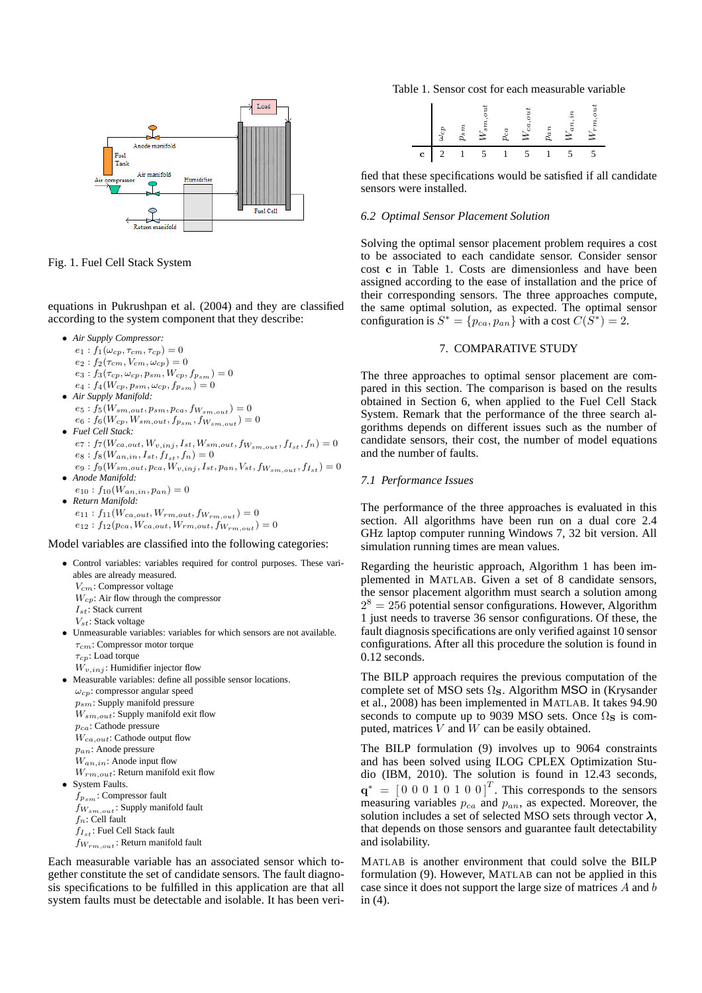

Fig. 1. Fuel Cell Stack System

equations in Pukrushpan et al. (2004) and they are classified according to the system component that they describe:

- *Air Supply Compressor:*
	- $e_1$ :  $f_1(\omega_{cp}, \tau_{cm}, \tau_{cp}) = 0$
	- $e_2 : f_2(\tau_{cm}, V_{cm}, \omega_{cp}) = 0$
	- $e_3: f_3(\tau_{cp}, \omega_{cp}, p_{sm}, W_{cp}, f_{p_{sm}}) = 0$
	- $e_4$  :  $f_4(W_{cp}, p_{sm}, \omega_{cp}, f_{p_{sm}}) = 0$
- *Air Supply Manifold:*  $e_5$  :  $f_5(\mathcal{W}_{sm,out}, p_{sm}, p_{ca}, f_{\mathcal{W}_{sm,out}}) = 0$ 
	- $e_6 : f_6(W_{cp}, W_{sm,out}, f_{p_{sm}}, f_{W_{sm,out}}) = 0$
- *Fuel Cell Stack:*  $e_7: f_7(W_{ca,out}, W_{v,inj}, I_{st}, W_{sm,out}, f_{W_{sm,out}}, f_{I_{st}}, f_n)=0 \label{eq:1}$  $e_8$  :  $f_8(W_{an,in}, {\cal I}_{st}, {\cal f}_{{\cal I}_{st}}, f_n)=0$
- $e_9: f_9(W_{sm,out}, p_{ca}, W_{v,inj}, I_{st}, p_{an}, V_{st}, f_{W_{sm,out}}, f_{I_{st}}) = 0$ • *Anode Manifold:*
- $e_{10}$ :  $f_{10}(W_{an,in}, p_{an}) = 0$ • *Return Manifold:*
	- $e_{11}$ :  $f_{11}(W_{ca,out}, W_{rm,out}, f_{W_{rm,out}}) = 0$  $e_{12}: f_{12}(p_{ca}, W_{ca,out}, W_{rm,out}, f_{W_{rm,out}})=0$

Model variables are classified into the following categories:

- Control variables: variables required for control purposes. These variables are already measured.  $V_{cm}$ : Compressor voltage  $W_{cp}$ : Air flow through the compressor  $I_{st}$ : Stack current  $V_{st}$ : Stack voltage • Unmeasurable variables: variables for which sensors are not available.  $\tau_{cm}$ : Compressor motor torque  $\tau_{cp}$ : Load torque  $\overline{W}_{v, inj}$ : Humidifier injector flow • Measurable variables: define all possible sensor locations.
- $\omega_{cp}$ : compressor angular speed psm: Supply manifold pressure  $W_{sm,out}$ : Supply manifold exit flow  $p_{ca}\!\!:$  Cathode pressure  $W_{ca,out}$ : Cathode output flow pan: Anode pressure  $W_{an,in}$ : Anode input flow  $W_{rm, out}$ : Return manifold exit flow • System Faults.

 $f_{p_{\mathcal{S}m}}$ : Compressor fault  $f_{\mathcal{W}_{sm,out}}$  : Supply manifold fault  $f_n$ : Cell fault  $f_{I_{st}}$ : Fuel Cell Stack fault  $f_{W_{rm}, out}$ : Return manifold fault

Each measurable variable has an associated sensor which together constitute the set of candidate sensors. The fault diagnosis specifications to be fulfilled in this application are that all system faults must be detectable and isolable. It has been veri-

Table 1. Sensor cost for each measurable variable

|   | $\omega_{c\mu}$ | p. | $W_{s}$ | $p_{ca}$ | ۸<br>$W_{cc}$ | $p_{ar}$ | $W_{a}$ | č<br>$W_{rr}$ |
|---|-----------------|----|---------|----------|---------------|----------|---------|---------------|
| c |                 |    |         |          |               |          |         |               |

fied that these specifications would be satisfied if all candidate sensors were installed.

# *6.2 Optimal Sensor Placement Solution*

Solving the optimal sensor placement problem requires a cost to be associated to each candidate sensor. Consider sensor cost c in Table 1. Costs are dimensionless and have been assigned according to the ease of installation and the price of their corresponding sensors. The three approaches compute, the same optimal solution, as expected. The optimal sensor configuration is  $S^* = \{p_{ca}, p_{an}\}\$  with a cost  $C(\overline{S^*}) = 2$ .

# 7. COMPARATIVE STUDY

The three approaches to optimal sensor placement are compared in this section. The comparison is based on the results obtained in Section 6, when applied to the Fuel Cell Stack System. Remark that the performance of the three search algorithms depends on different issues such as the number of candidate sensors, their cost, the number of model equations and the number of faults.

# *7.1 Performance Issues*

The performance of the three approaches is evaluated in this section. All algorithms have been run on a dual core 2.4 GHz laptop computer running Windows 7, 32 bit version. All simulation running times are mean values.

Regarding the heuristic approach, Algorithm 1 has been implemented in MATLAB. Given a set of 8 candidate sensors, the sensor placement algorithm must search a solution among  $2^8 = 256$  potential sensor configurations. However, Algorithm 1 just needs to traverse 36 sensor configurations. Of these, the fault diagnosis specifications are only verified against 10 sensor configurations. After all this procedure the solution is found in 0.12 seconds.

The BILP approach requires the previous computation of the complete set of MSO sets  $\Omega$ <sub>S</sub>. Algorithm MSO in (Krysander et al., 2008) has been implemented in MATLAB. It takes 94.90 seconds to compute up to 9039 MSO sets. Once  $\Omega$ <sub>S</sub> is computed, matrices  $\overline{V}$  and  $\overline{W}$  can be easily obtained.

The BILP formulation (9) involves up to 9064 constraints and has been solved using ILOG CPLEX Optimization Studio (IBM, 2010). The solution is found in 12.43 seconds,  $\mathbf{q}^* = \begin{bmatrix} 0 & 0 & 0 & 1 & 0 & 1 & 0 & 0 \end{bmatrix}^T$ . This corresponds to the sensors measuring variables  $p_{ca}$  and  $p_{an}$ , as expected. Moreover, the solution includes a set of selected MSO sets through vector  $\lambda$ , that depends on those sensors and guarantee fault detectability and isolability.

MATLAB is another environment that could solve the BILP formulation (9). However, MATLAB can not be applied in this case since it does not support the large size of matrices A and b in (4).